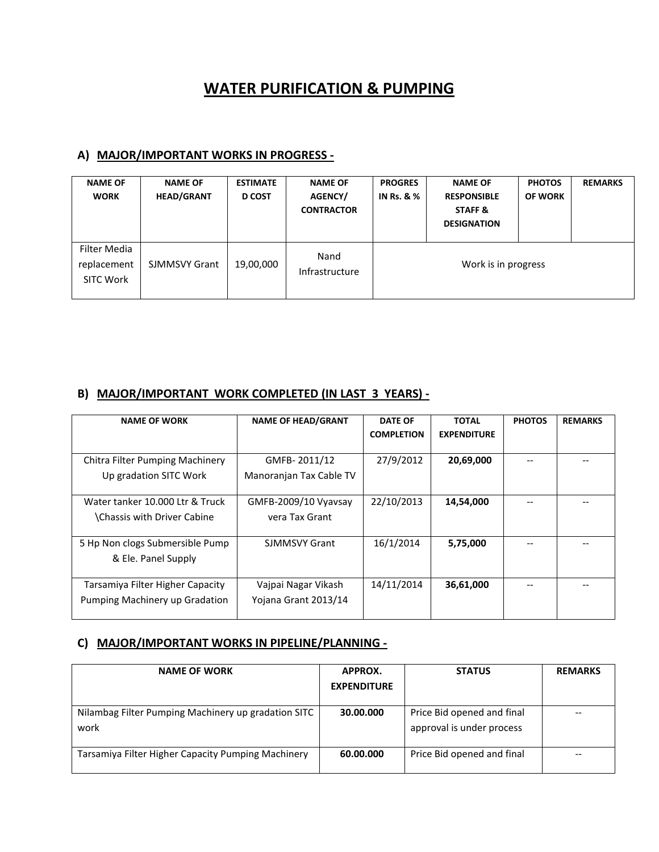## **WATER PURIFICATION & PUMPING**

## **A) MAJOR/IMPORTANT WORKS IN PROGRESS -**

| <b>NAME OF</b><br><b>WORK</b>                   | <b>NAME OF</b><br><b>HEAD/GRANT</b> | <b>ESTIMATE</b><br><b>D COST</b> | <b>NAME OF</b><br>AGENCY/<br><b>CONTRACTOR</b> | <b>PROGRES</b><br><b>IN Rs. &amp; %</b> | <b>NAME OF</b><br><b>RESPONSIBLE</b><br>STAFF &<br><b>DESIGNATION</b> | <b>PHOTOS</b><br><b>OF WORK</b> | <b>REMARKS</b> |
|-------------------------------------------------|-------------------------------------|----------------------------------|------------------------------------------------|-----------------------------------------|-----------------------------------------------------------------------|---------------------------------|----------------|
| Filter Media<br>replacement<br><b>SITC Work</b> | <b>SJMMSVY Grant</b>                | 19,00,000                        | Nand<br>Infrastructure                         | Work is in progress                     |                                                                       |                                 |                |

## **B) MAJOR/IMPORTANT WORK COMPLETED (IN LAST 3 YEARS) -**

| <b>NAME OF WORK</b>                                                  | <b>NAME OF HEAD/GRANT</b>                   | <b>DATE OF</b><br><b>COMPLETION</b> | <b>TOTAL</b><br><b>EXPENDITURE</b> | <b>PHOTOS</b> | <b>REMARKS</b> |
|----------------------------------------------------------------------|---------------------------------------------|-------------------------------------|------------------------------------|---------------|----------------|
| Chitra Filter Pumping Machinery<br>Up gradation SITC Work            | GMFB-2011/12<br>Manoranjan Tax Cable TV     | 27/9/2012                           | 20,69,000                          |               |                |
| Water tanker 10.000 Ltr & Truck<br><b>Chassis with Driver Cabine</b> | GMFB-2009/10 Vyavsay<br>vera Tax Grant      | 22/10/2013                          | 14,54,000                          |               |                |
| 5 Hp Non clogs Submersible Pump<br>& Ele. Panel Supply               | <b>SJMMSVY Grant</b>                        | 16/1/2014                           | 5,75,000                           |               |                |
| Tarsamiya Filter Higher Capacity<br>Pumping Machinery up Gradation   | Vajpai Nagar Vikash<br>Yojana Grant 2013/14 | 14/11/2014                          | 36,61,000                          |               |                |

## **C) MAJOR/IMPORTANT WORKS IN PIPELINE/PLANNING -**

| <b>NAME OF WORK</b>                                         | APPROX.<br><b>EXPENDITURE</b> | <b>STATUS</b>                                           | <b>REMARKS</b> |
|-------------------------------------------------------------|-------------------------------|---------------------------------------------------------|----------------|
| Nilambag Filter Pumping Machinery up gradation SITC<br>work | 30.00.000                     | Price Bid opened and final<br>approval is under process |                |
| Tarsamiya Filter Higher Capacity Pumping Machinery          | 60.00.000                     | Price Bid opened and final                              |                |